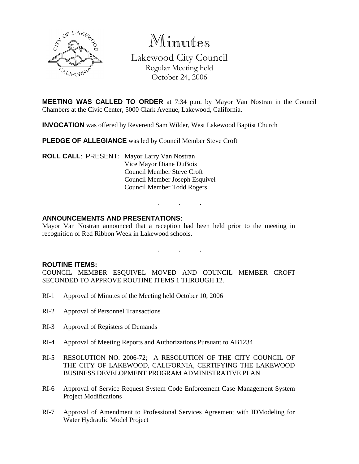

Minutes Lakewood City Council Regular Meeting held October 24, 2006

**MEETING WAS CALLED TO ORDER** at 7:34 p.m. by Mayor Van Nostran in the Council Chambers at the Civic Center, 5000 Clark Avenue, Lakewood, California.

**INVOCATION** was offered by Reverend Sam Wilder, West Lakewood Baptist Church

**PLEDGE OF ALLEGIANCE** was led by Council Member Steve Croft

**ROLL CALL**: PRESENT: Mayor Larry Van Nostran Vice Mayor Diane DuBois Council Member Steve Croft Council Member Joseph Esquivel Council Member Todd Rogers

## **ANNOUNCEMENTS AND PRESENTATIONS:**

Mayor Van Nostran announced that a reception had been held prior to the meeting in recognition of Red Ribbon Week in Lakewood schools.

. . .

. . .

**ROUTINE ITEMS:**

COUNCIL MEMBER ESQUIVEL MOVED AND COUNCIL MEMBER CROFT SECONDED TO APPROVE ROUTINE ITEMS 1 THROUGH 12.

- RI-1 Approval of Minutes of the Meeting held October 10, 2006
- RI-2 Approval of Personnel Transactions
- RI-3 Approval of Registers of Demands
- RI-4 Approval of Meeting Reports and Authorizations Pursuant to AB1234
- RI-5 RESOLUTION NO. 2006-72; A RESOLUTION OF THE CITY COUNCIL OF THE CITY OF LAKEWOOD, CALIFORNIA, CERTIFYING THE LAKEWOOD BUSINESS DEVELOPMENT PROGRAM ADMINISTRATIVE PLAN
- RI-6 Approval of Service Request System Code Enforcement Case Management System Project Modifications
- RI-7 Approval of Amendment to Professional Services Agreement with IDModeling for Water Hydraulic Model Project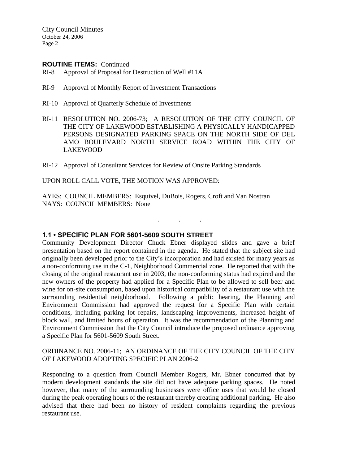City Council Minutes October 24, 2006 Page 2

#### **ROUTINE ITEMS:** Continued

- RI-8 Approval of Proposal for Destruction of Well #11A
- RI-9 Approval of Monthly Report of Investment Transactions
- RI-10 Approval of Quarterly Schedule of Investments
- RI-11 RESOLUTION NO. 2006-73; A RESOLUTION OF THE CITY COUNCIL OF THE CITY OF LAKEWOOD ESTABLISHING A PHYSICALLY HANDICAPPED PERSONS DESIGNATED PARKING SPACE ON THE NORTH SIDE OF DEL AMO BOULEVARD NORTH SERVICE ROAD WITHIN THE CITY OF LAKEWOOD
- RI-12 Approval of Consultant Services for Review of Onsite Parking Standards

UPON ROLL CALL VOTE, THE MOTION WAS APPROVED:

AYES: COUNCIL MEMBERS: Esquivel, DuBois, Rogers, Croft and Van Nostran NAYS: COUNCIL MEMBERS: None

#### **1.1 • SPECIFIC PLAN FOR 5601-5609 SOUTH STREET**

Community Development Director Chuck Ebner displayed slides and gave a brief presentation based on the report contained in the agenda. He stated that the subject site had originally been developed prior to the City's incorporation and had existed for many years as a non-conforming use in the C-1, Neighborhood Commercial zone. He reported that with the closing of the original restaurant use in 2003, the non-conforming status had expired and the new owners of the property had applied for a Specific Plan to be allowed to sell beer and wine for on-site consumption, based upon historical compatibility of a restaurant use with the surrounding residential neighborhood. Following a public hearing, the Planning and Environment Commission had approved the request for a Specific Plan with certain conditions, including parking lot repairs, landscaping improvements, increased height of block wall, and limited hours of operation. It was the recommendation of the Planning and Environment Commission that the City Council introduce the proposed ordinance approving a Specific Plan for 5601-5609 South Street.

. . .

## ORDINANCE NO. 2006-11; AN ORDINANCE OF THE CITY COUNCIL OF THE CITY OF LAKEWOOD ADOPTING SPECIFIC PLAN 2006-2

Responding to a question from Council Member Rogers, Mr. Ebner concurred that by modern development standards the site did not have adequate parking spaces. He noted however, that many of the surrounding businesses were office uses that would be closed during the peak operating hours of the restaurant thereby creating additional parking. He also advised that there had been no history of resident complaints regarding the previous restaurant use.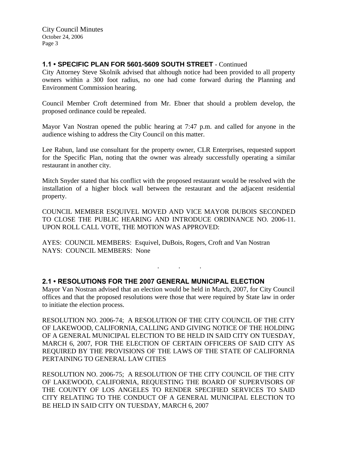# **1.1 • SPECIFIC PLAN FOR 5601-5609 SOUTH STREET** - Continued

City Attorney Steve Skolnik advised that although notice had been provided to all property owners within a 300 foot radius, no one had come forward during the Planning and Environment Commission hearing.

Council Member Croft determined from Mr. Ebner that should a problem develop, the proposed ordinance could be repealed.

Mayor Van Nostran opened the public hearing at 7:47 p.m. and called for anyone in the audience wishing to address the City Council on this matter.

Lee Rabun, land use consultant for the property owner, CLR Enterprises, requested support for the Specific Plan, noting that the owner was already successfully operating a similar restaurant in another city.

Mitch Snyder stated that his conflict with the proposed restaurant would be resolved with the installation of a higher block wall between the restaurant and the adjacent residential property.

COUNCIL MEMBER ESQUIVEL MOVED AND VICE MAYOR DUBOIS SECONDED TO CLOSE THE PUBLIC HEARING AND INTRODUCE ORDINANCE NO. 2006-11. UPON ROLL CALL VOTE, THE MOTION WAS APPROVED:

AYES: COUNCIL MEMBERS: Esquivel, DuBois, Rogers, Croft and Van Nostran NAYS: COUNCIL MEMBERS: None

## **2.1 • RESOLUTIONS FOR THE 2007 GENERAL MUNICIPAL ELECTION**

Mayor Van Nostran advised that an election would be held in March, 2007, for City Council offices and that the proposed resolutions were those that were required by State law in order to initiate the election process.

. . .

RESOLUTION NO. 2006-74; A RESOLUTION OF THE CITY COUNCIL OF THE CITY OF LAKEWOOD, CALIFORNIA, CALLING AND GIVING NOTICE OF THE HOLDING OF A GENERAL MUNICIPAL ELECTION TO BE HELD IN SAID CITY ON TUESDAY, MARCH 6, 2007, FOR THE ELECTION OF CERTAIN OFFICERS OF SAID CITY AS REQUIRED BY THE PROVISIONS OF THE LAWS OF THE STATE OF CALIFORNIA PERTAINING TO GENERAL LAW CITIES

RESOLUTION NO. 2006-75; A RESOLUTION OF THE CITY COUNCIL OF THE CITY OF LAKEWOOD, CALIFORNIA, REQUESTING THE BOARD OF SUPERVISORS OF THE COUNTY OF LOS ANGELES TO RENDER SPECIFIED SERVICES TO SAID CITY RELATING TO THE CONDUCT OF A GENERAL MUNICIPAL ELECTION TO BE HELD IN SAID CITY ON TUESDAY, MARCH 6, 2007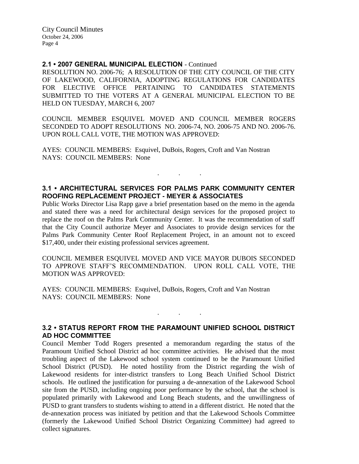City Council Minutes October 24, 2006 Page 4

#### **2.1 • 2007 GENERAL MUNICIPAL ELECTION** - Continued

RESOLUTION NO. 2006-76; A RESOLUTION OF THE CITY COUNCIL OF THE CITY OF LAKEWOOD, CALIFORNIA, ADOPTING REGULATIONS FOR CANDIDATES FOR ELECTIVE OFFICE PERTAINING TO CANDIDATES STATEMENTS SUBMITTED TO THE VOTERS AT A GENERAL MUNICIPAL ELECTION TO BE HELD ON TUESDAY, MARCH 6, 2007

COUNCIL MEMBER ESQUIVEL MOVED AND COUNCIL MEMBER ROGERS SECONDED TO ADOPT RESOLUTIONS NO. 2006-74, NO. 2006-75 AND NO. 2006-76. UPON ROLL CALL VOTE, THE MOTION WAS APPROVED:

AYES: COUNCIL MEMBERS: Esquivel, DuBois, Rogers, Croft and Van Nostran NAYS: COUNCIL MEMBERS: None

# **3.1 • ARCHITECTURAL SERVICES FOR PALMS PARK COMMUNITY CENTER ROOFING REPLACEMENT PROJECT - MEYER & ASSOCIATES**

. . .

Public Works Director Lisa Rapp gave a brief presentation based on the memo in the agenda and stated there was a need for architectural design services for the proposed project to replace the roof on the Palms Park Community Center. It was the recommendation of staff that the City Council authorize Meyer and Associates to provide design services for the Palms Park Community Center Roof Replacement Project, in an amount not to exceed \$17,400, under their existing professional services agreement.

COUNCIL MEMBER ESQUIVEL MOVED AND VICE MAYOR DUBOIS SECONDED TO APPROVE STAFF'S RECOMMENDATION. UPON ROLL CALL VOTE, THE MOTION WAS APPROVED:

AYES: COUNCIL MEMBERS: Esquivel, DuBois, Rogers, Croft and Van Nostran NAYS: COUNCIL MEMBERS: None

## **3.2 • STATUS REPORT FROM THE PARAMOUNT UNIFIED SCHOOL DISTRICT AD HOC COMMITTEE**

. . .

Council Member Todd Rogers presented a memorandum regarding the status of the Paramount Unified School District ad hoc committee activities. He advised that the most troubling aspect of the Lakewood school system continued to be the Paramount Unified School District (PUSD). He noted hostility from the District regarding the wish of Lakewood residents for inter-district transfers to Long Beach Unified School District schools. He outlined the justification for pursuing a de-annexation of the Lakewood School site from the PUSD, including ongoing poor performance by the school, that the school is populated primarily with Lakewood and Long Beach students, and the unwillingness of PUSD to grant transfers to students wishing to attend in a different district. He noted that the de-annexation process was initiated by petition and that the Lakewood Schools Committee (formerly the Lakewood Unified School District Organizing Committee) had agreed to collect signatures.